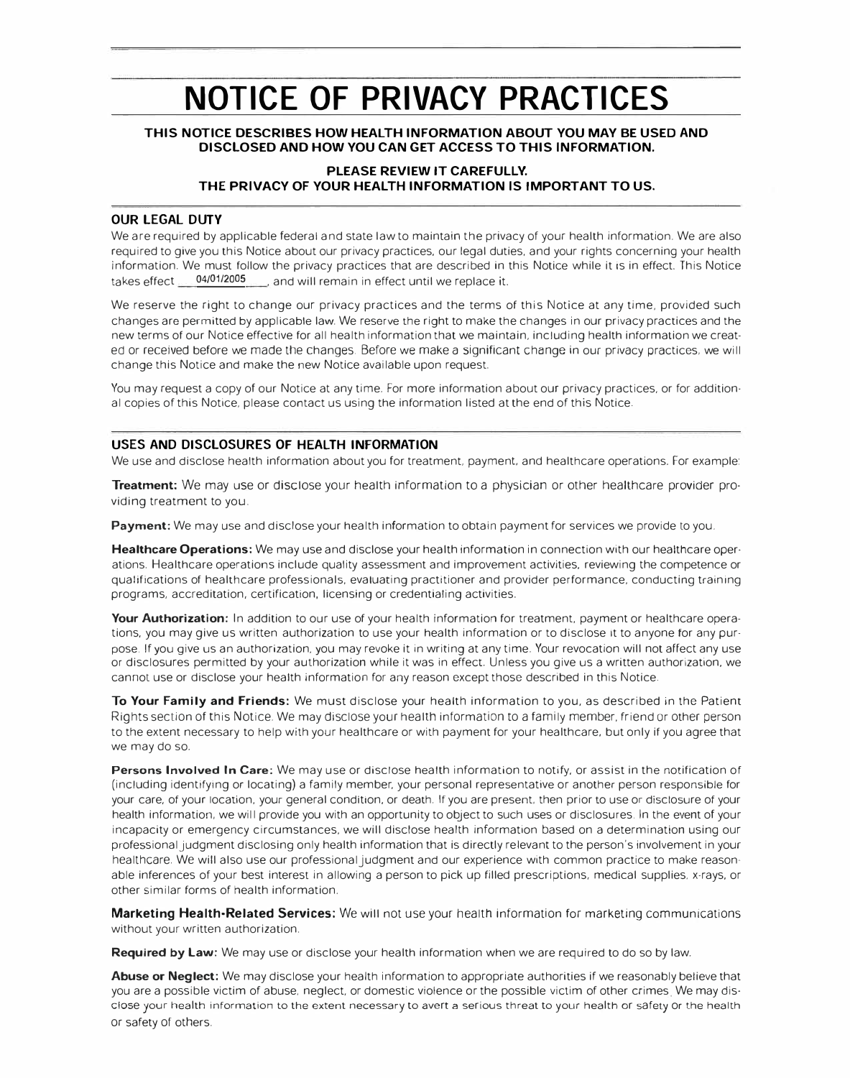# **NOTICE OF PRIVACY PRACTICES**

## **THIS NOTICE DESCRIBES HOW HEALTH INFORMATION ABOUT YOU MAY BE USED AND DISCLOSED AND HOW YOU CAN GET ACCESS TO THIS INFORMATION.**

## **PLEASE REVIEW IT CAREFULLY. THE PRIVACY OF YOUR HEALTH INFORMATION IS IMPORTANT TO US.**

### **OUR LEGAL DUTY**

We are required by applicable federal and state law to maintain the privacy of your health information. We are also required to give you this Notice about our privacy practices. our legal duties, and your rights concerning your health information. We must follow the privacy practices that are described in this Notice while it is in effect. This Notice takes effect ..., and will remain in effect until we replace it.

We reserve the right to change our privacy practices and the terms of this Notice at any time, provided such changes are permitted by applicable law We reserve the right to make the changes in our privacy practices and the new terms of our Notice effective for all health information that we maintain. including health information we created or received before we made the changes. Before we make a significant change in our privacy practices, we will change this Notice and make the new Notice available upon request.

You may request a copy of our Notice at any time. For more information about our privacy practices. or for additional copies of this Notice, please contact us using the information listed at the end of this Notice.

### **USES AND DISCLOSURES OF HEALTH INFORMATION**

We use and disclose health information about you for treatment, payment, and healthcare operations. For example:

**Treatment:** We may use or disclose your health information to a physician or other healthcare provider providing treatment to you.

**Payment:** We may use and disclose your health information to obtain payment for services we provide to you.

**Healthcare Operations:** We may use and disclose your health information in connection with our healthcare operations. Healthcare operations include quality assessment and improvement activities, reviewing the competence or qualifications of healthcare professionals, evaluating practitioner and provider performance, conducting training programs, accreditation, certification, licensing or credentialing activities.

**Your Authorization:** In addition to our use of your health information for treatment, payment or healthcare operations. you may give us written authorization to use your health information or to disclose it to anyone for any purpose. If you give us an authorization. you may revoke it in writing at any time. Your revocation will not affect any use or disclosures permitted by your authorization while it was in effect Unless you give us a written authorization, we cannot use or disclose your health information for any reason except those described in this Notice.

**To Your Family and Friends:** We must disclose your health information to you, as described in the Patient Rights section of this Notice. We may disclose your health information to a family member, friend or other person to the extent necessary to help with your healthcare or with payment for your healthcare, but only if you agree that we may do so.

**Persons Involved In Care:** We may use or disclose health information to notify. or assist in the notification of (including identifying or locating) a family member, your personal representative or another person responsible for your care, of your location, your general condition. or death. If you are present. then prior to use or disclosure of your health information, we will provide you with an opportunity to object to such uses or disclosures. In the event of your incapacity or emergency circumstances, we will disclose health information based on a determination using our professional judgment disclosing only health information that is directly relevant to the person's involvement in your healthcare. We will also use our professional judgment and our experience with common practice to make reasonable inferences of your best interest in allowing a person to pick up filled prescriptions, medical supplies, x-rays, or other similar forms of health information.

**Marketing Health-Related Services:** We will not use your health information for marketing communications without your written authorization.

**Required by Law:** We may use or disclose your health information when we are required to do so by law.

Abuse or Neglect: We may disclose your health information to appropriate authorities if we reasonably believe that you are a possible victim of abuse, neglect. or domestic violence or the possible victim of other crimes We may disclose your health information to the extent necessary to avert a serious threat to your health or safety or the health or safety of others.